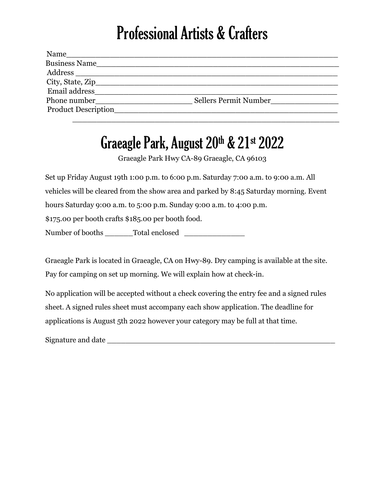## Professional Artists & Crafters

| Name                 |                       |
|----------------------|-----------------------|
| <b>Business Name</b> |                       |
| Address              |                       |
|                      |                       |
| Email address        |                       |
| Phone number         | Sellers Permit Number |
| Product Description  |                       |
|                      |                       |

## Graeagle Park, August 20<sup>th</sup> & 21<sup>st</sup> 2022

Graeagle Park Hwy CA-89 Graeagle, CA 96103

Set up Friday August 19th 1:00 p.m. to 6:00 p.m. Saturday 7:00 a.m. to 9:00 a.m. All vehicles will be cleared from the show area and parked by 8:45 Saturday morning. Event hours Saturday 9:00 a.m. to 5:00 p.m. Sunday 9:00 a.m. to 4:00 p.m.

\$175.00 per booth crafts \$185.00 per booth food.

Number of booths \_\_\_\_\_\_Total enclosed \_\_\_\_\_\_\_\_\_\_\_\_\_

Graeagle Park is located in Graeagle, CA on Hwy-89. Dry camping is available at the site. Pay for camping on set up morning. We will explain how at check-in.

No application will be accepted without a check covering the entry fee and a signed rules sheet. A signed rules sheet must accompany each show application. The deadline for applications is August 5th 2022 however your category may be full at that time.

Signature and date  $\Box$